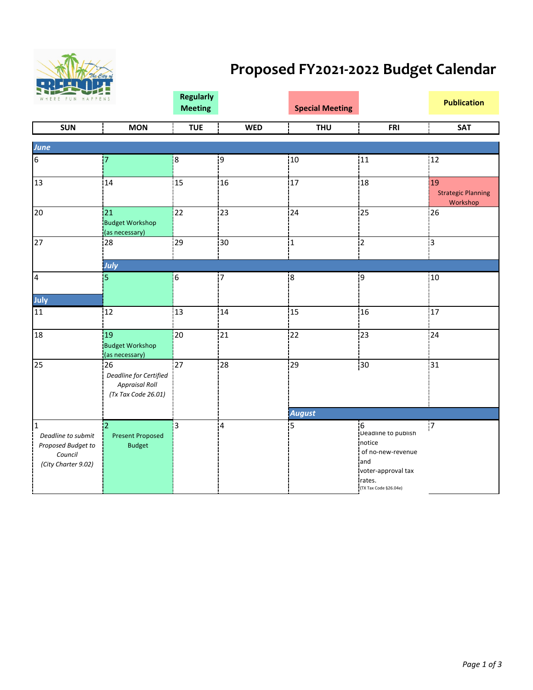

## **Proposed FY2021-2022 Budget Calendar**

| WHERE FUN HAPPENS                                                                          |                                                                              | <b>Regularly</b><br><b>Meeting</b> |            | <b>Special Meeting</b> |                                                                                                                         | <b>Publication</b>                          |  |
|--------------------------------------------------------------------------------------------|------------------------------------------------------------------------------|------------------------------------|------------|------------------------|-------------------------------------------------------------------------------------------------------------------------|---------------------------------------------|--|
| <b>SUN</b>                                                                                 | <b>MON</b>                                                                   | <b>TUE</b>                         | <b>WED</b> | <b>THU</b>             | <b>FRI</b>                                                                                                              | <b>SAT</b>                                  |  |
| <b>June</b>                                                                                |                                                                              |                                    |            |                        |                                                                                                                         |                                             |  |
| 6                                                                                          | 17                                                                           | $\overline{8}$                     | 19         | 10                     | 11                                                                                                                      | 12                                          |  |
| 13                                                                                         | 14                                                                           | 15                                 | 16         | 17                     | 18                                                                                                                      | 19<br><b>Strategic Planning</b><br>Workshop |  |
| 20                                                                                         | 21<br><b>Budget Workshop</b><br>(as necessary)                               | 22                                 | 23         | 24                     | 25                                                                                                                      | 26                                          |  |
| 27                                                                                         | 28                                                                           | 29                                 | 30         | 11                     | $\overline{2}$                                                                                                          | 3                                           |  |
|                                                                                            | July                                                                         |                                    |            |                        |                                                                                                                         |                                             |  |
| 4                                                                                          | 5                                                                            | 6                                  | 17         | ļ8                     | 19                                                                                                                      | 10                                          |  |
| July                                                                                       |                                                                              |                                    |            |                        |                                                                                                                         |                                             |  |
| 11                                                                                         | 12                                                                           | 13                                 | 14         | 15                     | 16                                                                                                                      | 17                                          |  |
| 18                                                                                         | 19<br><b>Budget Workshop</b><br>(as necessary)                               | 20                                 | 21         | 22                     | 23                                                                                                                      | 24                                          |  |
| 25                                                                                         | 26<br>Deadline for Certified<br><b>Appraisal Roll</b><br>(Tx Tax Code 26.01) | 27                                 | 28         | 29                     | 30                                                                                                                      | 31                                          |  |
|                                                                                            |                                                                              |                                    |            | <b>August</b>          |                                                                                                                         |                                             |  |
| $\mathbf{1}$<br>Deadline to submit<br>Proposed Budget to<br>Council<br>(City Charter 9.02) | $\overline{2}$<br><b>Present Proposed</b><br><b>Budget</b>                   | $\overline{3}$                     | 4          | İ5                     | 6<br>Deadline to publish<br>notice<br>of no-new-revenue<br>and<br>voter-approval tax<br>rates.<br>(TX Tax Code §26.04e) | 7                                           |  |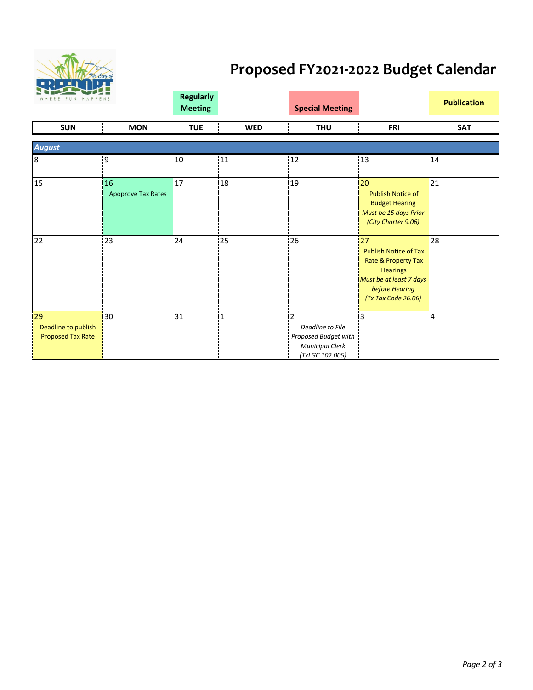

## **Proposed FY2021-2022 Budget Calendar**

| Niez Ver<br>WHERE FUN HAPPENS                         |                          | <b>Regularly</b><br><b>Meeting</b> |              | <b>Special Meeting</b>                                                                |                                                                                                                                                             | <b>Publication</b> |
|-------------------------------------------------------|--------------------------|------------------------------------|--------------|---------------------------------------------------------------------------------------|-------------------------------------------------------------------------------------------------------------------------------------------------------------|--------------------|
| <b>SUN</b>                                            | <b>MON</b>               | <b>TUE</b>                         | <b>WED</b>   | <b>THU</b>                                                                            | <b>FRI</b>                                                                                                                                                  | <b>SAT</b>         |
| <b>August</b>                                         |                          |                                    |              |                                                                                       |                                                                                                                                                             |                    |
| 8                                                     | 9                        | 10                                 | 11           | $12$                                                                                  | 13                                                                                                                                                          | 14                 |
| 15                                                    | 16<br>Apoprove Tax Rates | 17                                 | 18           | 19                                                                                    | 20<br><b>Publish Notice of</b><br><b>Budget Hearing</b><br>Must be 15 days Prior<br>(City Charter 9.06)                                                     | 21                 |
| 22                                                    | 23                       | 24                                 | 25           | 26                                                                                    | 27<br><b>Publish Notice of Tax</b><br><b>Rate &amp; Property Tax</b><br><b>Hearings</b><br>Must be at least 7 days<br>before Hearing<br>(Tx Tax Code 26.06) | 28                 |
| 29<br>Deadline to publish<br><b>Proposed Tax Rate</b> | 30                       | 31                                 | $\mathbf{1}$ | Deadline to File<br>Proposed Budget with<br><b>Municipal Clerk</b><br>(TxLGC 102.005) | 3                                                                                                                                                           | $\overline{4}$     |